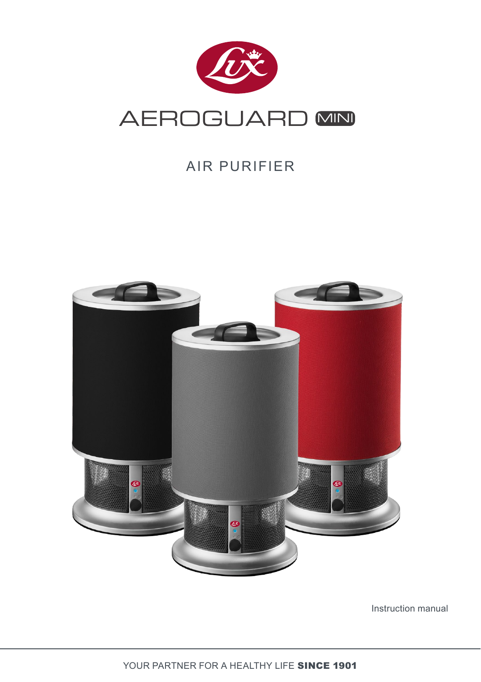

## AIR PURIFIER



Instruction manual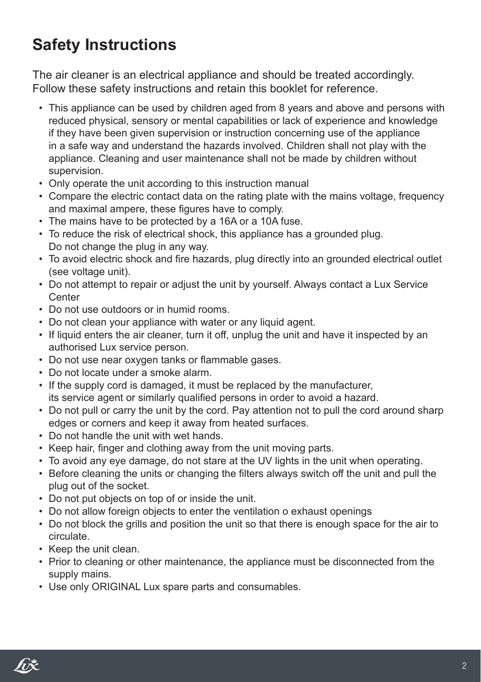# **Safety Instructions**

The air cleaner is an electrical appliance and should be treated accordingly. Follow these safety instructions and retain this booklet for reference.

- This appliance can be used by children aged from 8 years and above and persons with reduced physical, sensory or mental capabilities or lack of experience and knowledge if they have been given supervision or instruction concerning use of the appliance in a safe way and understand the hazards involved. Children shall not play with the appliance. Cleaning and user maintenance shall not be made by children without supervision.
- Only operate the unit according to this instruction manual
- Compare the electric contact data on the rating plate with the mains voltage, frequency and maximal ampere, these figures have to comply.
- The mains have to be protected by a 16A or a 10A fuse.
- To reduce the risk of electrical shock, this appliance has a grounded plug. Do not change the plug in any way.
- To avoid electric shock and fire hazards, plug directly into an grounded electrical outlet (see voltage unit).
- Do not attempt to repair or adjust the unit by yourself. Always contact a Lux Service **Center**
- Do not use outdoors or in humid rooms.
- Do not clean your appliance with water or any liquid agent.
- If liquid enters the air cleaner, turn it off, unplug the unit and have it inspected by an authorised Lux service person.
- Do not use near oxygen tanks or flammable gases.
- Do not locate under a smoke alarm.
- If the supply cord is damaged, it must be replaced by the manufacturer, its service agent or similarly qualified persons in order to avoid a hazard.
- Do not pull or carry the unit by the cord. Pay attention not to pull the cord around sharp edges or corners and keep it away from heated surfaces.
- Do not handle the unit with wet hands.
- Keep hair, finger and clothing away from the unit moving parts.
- To avoid any eye damage, do not stare at the UV lights in the unit when operating.
- Before cleaning the units or changing the filters always switch off the unit and pull the plug out of the socket.
- Do not put objects on top of or inside the unit.
- Do not allow foreign objects to enter the ventilation o exhaust openings
- Do not block the grills and position the unit so that there is enough space for the air to circulate.
- Keep the unit clean.
- Prior to cleaning or other maintenance, the appliance must be disconnected from the supply mains.
- Use only ORIGINAL Lux spare parts and consumables.

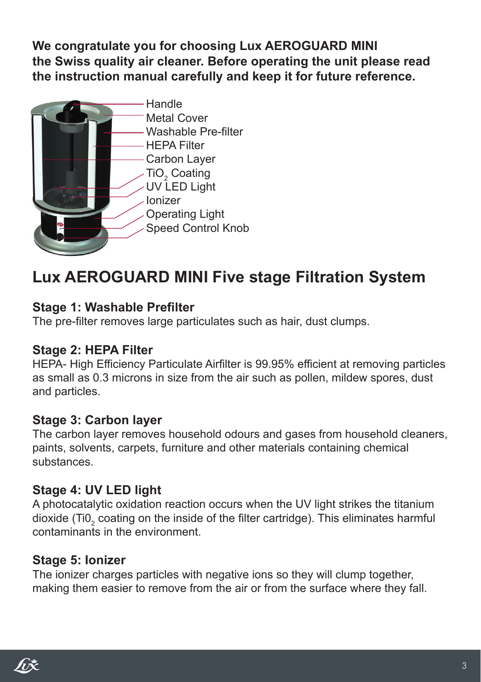**We congratulate you for choosing Lux AEROGUARD MINI the Swiss quality air cleaner. Before operating the unit please read the instruction manual carefully and keep it for future reference.**



## **Lux AEROGUARD MINI Five stage Filtration System**

#### **Stage 1: Washable Prefilter**

The pre-filter removes large particulates such as hair, dust clumps.

#### **Stage 2: HEPA Filter**

HEPA- High Efficiency Particulate Airfilter is 99.95% efficient at removing particles as small as 0.3 microns in size from the air such as pollen, mildew spores, dust and particles.

#### **Stage 3: Carbon layer**

The carbon layer removes household odours and gases from household cleaners, paints, solvents, carpets, furniture and other materials containing chemical substances.

#### **Stage 4: UV LED light**

A photocatalytic oxidation reaction occurs when the UV light strikes the titanium dioxide (Ti0 $_{\textrm{\tiny{2}}}$  coating on the inside of the filter cartridge). This eliminates harmful contaminants in the environment.

#### **Stage 5: Ionizer**

The ionizer charges particles with negative ions so they will clump together, making them easier to remove from the air or from the surface where they fall.

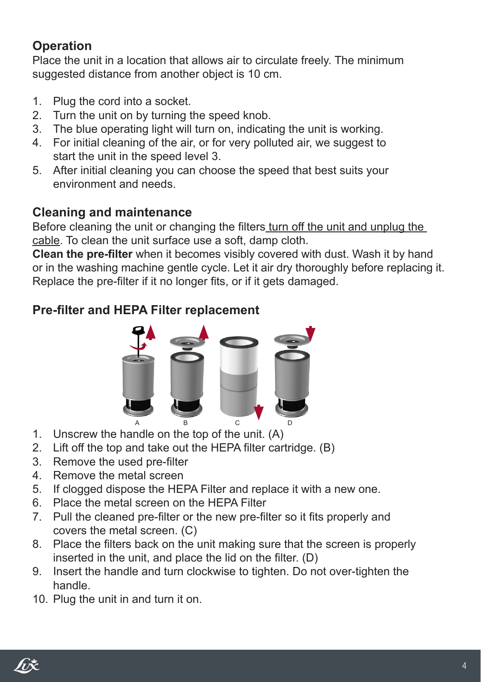## **Operation**

Place the unit in a location that allows air to circulate freely. The minimum suggested distance from another object is 10 cm.

- 1. Plug the cord into a socket.
- 2. Turn the unit on by turning the speed knob.
- 3. The blue operating light will turn on, indicating the unit is working.
- 4. For initial cleaning of the air, or for very polluted air, we suggest to start the unit in the speed level 3.
- 5. After initial cleaning you can choose the speed that best suits your environment and needs.

## **Cleaning and maintenance**

Before cleaning the unit or changing the filters turn off the unit and unplug the cable. To clean the unit surface use a soft, damp cloth.

**Clean the pre-filter** when it becomes visibly covered with dust. Wash it by hand or in the washing machine gentle cycle. Let it air dry thoroughly before replacing it. Replace the pre-filter if it no longer fits, or if it gets damaged.

## **Pre-filter and HEPA Filter replacement**



- 1. Unscrew the handle on the top of the unit. (A)
- 2. Lift off the top and take out the HEPA filter cartridge. (B)
- 3. Remove the used pre-filter
- 4. Remove the metal screen
- 5. If clogged dispose the HEPA Filter and replace it with a new one.
- 6. Place the metal screen on the HEPA Filter
- 7. Pull the cleaned pre-filter or the new pre-filter so it fits properly and covers the metal screen. (C)
- 8. Place the filters back on the unit making sure that the screen is properly inserted in the unit, and place the lid on the filter. (D)
- 9. Insert the handle and turn clockwise to tighten. Do not over-tighten the handle.
- 10. Plug the unit in and turn it on.

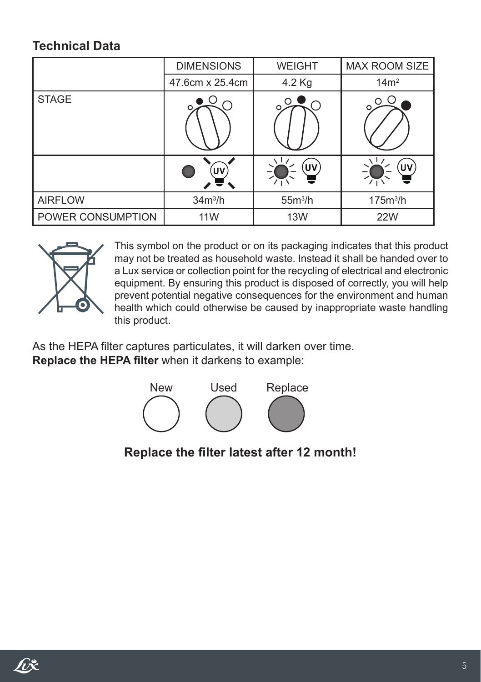### **Technical Data**

|                   | <b>DIMENSIONS</b> | <b>WEIGHT</b> | <b>MAX ROOM SIZE</b> |
|-------------------|-------------------|---------------|----------------------|
|                   | 47.6cm x 25.4cm   | 4.2 Kg        | 14m <sup>2</sup>     |
| <b>STAGE</b>      |                   | $\subset$     | O                    |
|                   | UV                | ヽlノ<br>UV     | Uν                   |
| <b>AIRFLOW</b>    | $34m^3/h$         | $55m^3/h$     | 175m <sup>3</sup> /h |
| POWER CONSUMPTION | 11 <sub>W</sub>   | <b>13W</b>    | <b>22W</b>           |



This symbol on the product or on its packaging indicates that this product may not be treated as household waste. Instead it shall be handed over to a Lux service or collection point for the recycling of electrical and electronic equipment. By ensuring this product is disposed of correctly, you will help prevent potential negative consequences for the environment and human health which could otherwise be caused by inappropriate waste handling this product.

As the HEPA filter captures particulates, it will darken over time. **Replace the HEPA filter** when it darkens to example:



**Replace the filter latest after 12 month!**